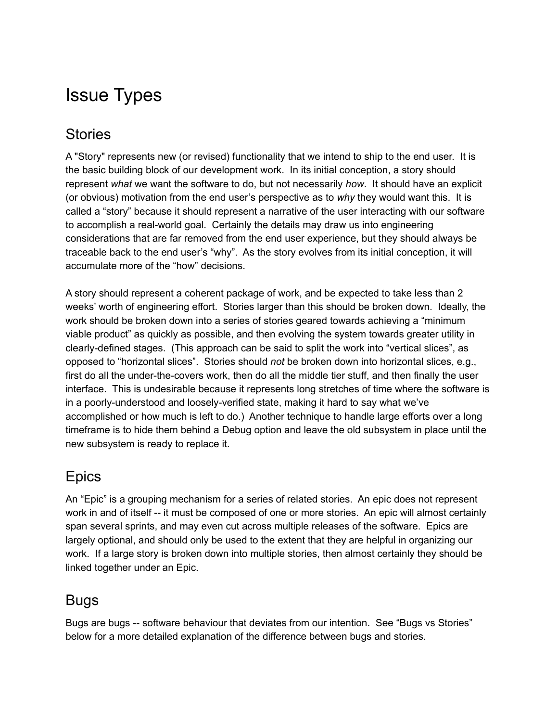## Issue Types

### **Stories**

A "Story" represents new (or revised) functionality that we intend to ship to the end user. It is the basic building block of our development work. In its initial conception, a story should represent *what* we want the software to do, but not necessarily *how*. It should have an explicit (or obvious) motivation from the end user's perspective as to *why* they would want this. It is called a "story" because it should represent a narrative of the user interacting with our software to accomplish a real-world goal. Certainly the details may draw us into engineering considerations that are far removed from the end user experience, but they should always be traceable back to the end user's "why". As the story evolves from its initial conception, it will accumulate more of the "how" decisions.

A story should represent a coherent package of work, and be expected to take less than 2 weeks' worth of engineering effort. Stories larger than this should be broken down. Ideally, the work should be broken down into a series of stories geared towards achieving a "minimum viable product" as quickly as possible, and then evolving the system towards greater utility in clearly-defined stages. (This approach can be said to split the work into "vertical slices", as opposed to "horizontal slices". Stories should *not* be broken down into horizontal slices, e.g., first do all the under-the-covers work, then do all the middle tier stuff, and then finally the user interface. This is undesirable because it represents long stretches of time where the software is in a poorly-understood and loosely-verified state, making it hard to say what we've accomplished or how much is left to do.) Another technique to handle large efforts over a long timeframe is to hide them behind a Debug option and leave the old subsystem in place until the new subsystem is ready to replace it.

### **Epics**

An "Epic" is a grouping mechanism for a series of related stories. An epic does not represent work in and of itself -- it must be composed of one or more stories. An epic will almost certainly span several sprints, and may even cut across multiple releases of the software. Epics are largely optional, and should only be used to the extent that they are helpful in organizing our work. If a large story is broken down into multiple stories, then almost certainly they should be linked together under an Epic.

#### Bugs

Bugs are bugs -- software behaviour that deviates from our intention. See "Bugs vs Stories" below for a more detailed explanation of the difference between bugs and stories.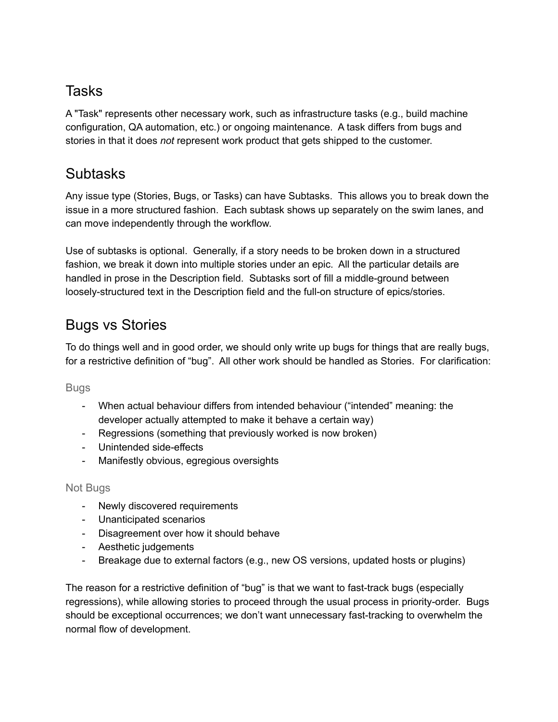### Tasks

A "Task" represents other necessary work, such as infrastructure tasks (e.g., build machine configuration, QA automation, etc.) or ongoing maintenance. A task differs from bugs and stories in that it does *not* represent work product that gets shipped to the customer.

### **Subtasks**

Any issue type (Stories, Bugs, or Tasks) can have Subtasks. This allows you to break down the issue in a more structured fashion. Each subtask shows up separately on the swim lanes, and can move independently through the workflow.

Use of subtasks is optional. Generally, if a story needs to be broken down in a structured fashion, we break it down into multiple stories under an epic. All the particular details are handled in prose in the Description field. Subtasks sort of fill a middle-ground between loosely-structured text in the Description field and the full-on structure of epics/stories.

### Bugs vs Stories

To do things well and in good order, we should only write up bugs for things that are really bugs, for a restrictive definition of "bug". All other work should be handled as Stories. For clarification:

Bugs

- When actual behaviour differs from intended behaviour ("intended" meaning: the developer actually attempted to make it behave a certain way)
- Regressions (something that previously worked is now broken)
- Unintended side-effects
- Manifestly obvious, egregious oversights

#### Not Bugs

- Newly discovered requirements
- Unanticipated scenarios
- Disagreement over how it should behave
- Aesthetic judgements
- Breakage due to external factors (e.g., new OS versions, updated hosts or plugins)

The reason for a restrictive definition of "bug" is that we want to fast-track bugs (especially regressions), while allowing stories to proceed through the usual process in priority-order. Bugs should be exceptional occurrences; we don't want unnecessary fast-tracking to overwhelm the normal flow of development.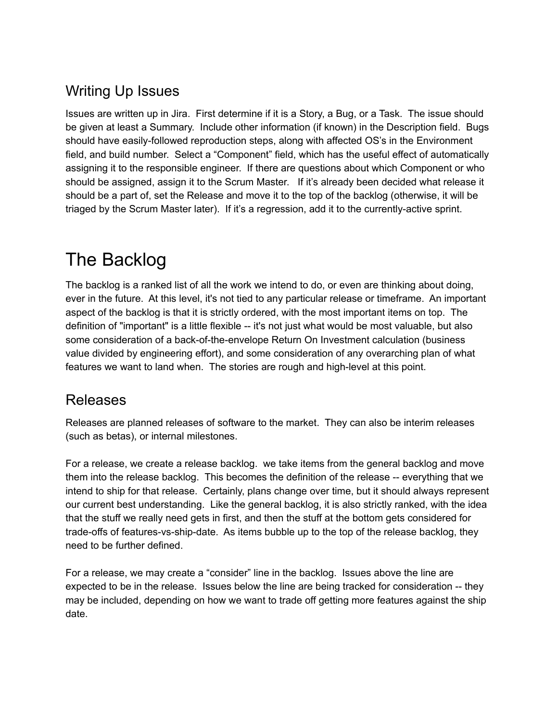### Writing Up Issues

Issues are written up in Jira. First determine if it is a Story, a Bug, or a Task. The issue should be given at least a Summary. Include other information (if known) in the Description field. Bugs should have easily-followed reproduction steps, along with affected OS's in the Environment field, and build number. Select a "Component" field, which has the useful effect of automatically assigning it to the responsible engineer. If there are questions about which Component or who should be assigned, assign it to the Scrum Master. If it's already been decided what release it should be a part of, set the Release and move it to the top of the backlog (otherwise, it will be triaged by the Scrum Master later). If it's a regression, add it to the currently-active sprint.

# The Backlog

The backlog is a ranked list of all the work we intend to do, or even are thinking about doing, ever in the future. At this level, it's not tied to any particular release or timeframe. An important aspect of the backlog is that it is strictly ordered, with the most important items on top. The definition of "important" is a little flexible -- it's not just what would be most valuable, but also some consideration of a back-of-the-envelope Return On Investment calculation (business value divided by engineering effort), and some consideration of any overarching plan of what features we want to land when. The stories are rough and high-level at this point.

#### Releases

Releases are planned releases of software to the market. They can also be interim releases (such as betas), or internal milestones.

For a release, we create a release backlog. we take items from the general backlog and move them into the release backlog. This becomes the definition of the release -- everything that we intend to ship for that release. Certainly, plans change over time, but it should always represent our current best understanding. Like the general backlog, it is also strictly ranked, with the idea that the stuff we really need gets in first, and then the stuff at the bottom gets considered for trade-offs of features-vs-ship-date. As items bubble up to the top of the release backlog, they need to be further defined.

For a release, we may create a "consider" line in the backlog. Issues above the line are expected to be in the release. Issues below the line are being tracked for consideration -- they may be included, depending on how we want to trade off getting more features against the ship date.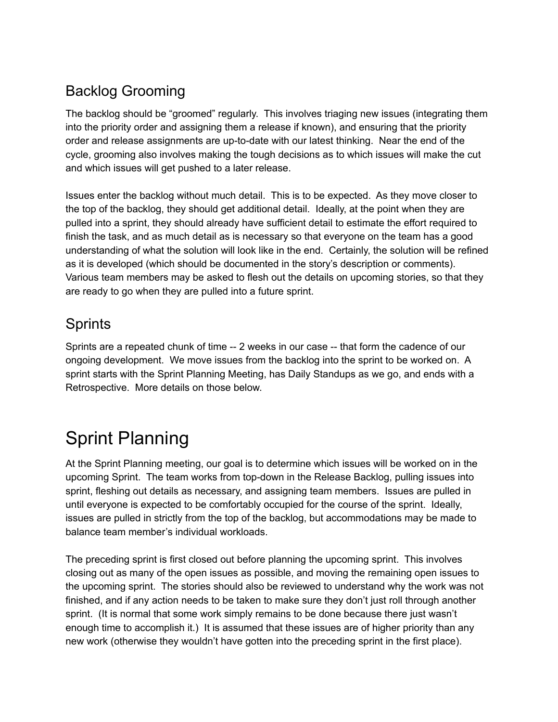### Backlog Grooming

The backlog should be "groomed" regularly. This involves triaging new issues (integrating them into the priority order and assigning them a release if known), and ensuring that the priority order and release assignments are up-to-date with our latest thinking. Near the end of the cycle, grooming also involves making the tough decisions as to which issues will make the cut and which issues will get pushed to a later release.

Issues enter the backlog without much detail. This is to be expected. As they move closer to the top of the backlog, they should get additional detail. Ideally, at the point when they are pulled into a sprint, they should already have sufficient detail to estimate the effort required to finish the task, and as much detail as is necessary so that everyone on the team has a good understanding of what the solution will look like in the end. Certainly, the solution will be refined as it is developed (which should be documented in the story's description or comments). Various team members may be asked to flesh out the details on upcoming stories, so that they are ready to go when they are pulled into a future sprint.

### **Sprints**

Sprints are a repeated chunk of time -- 2 weeks in our case -- that form the cadence of our ongoing development. We move issues from the backlog into the sprint to be worked on. A sprint starts with the Sprint Planning Meeting, has Daily Standups as we go, and ends with a Retrospective. More details on those below.

# Sprint Planning

At the Sprint Planning meeting, our goal is to determine which issues will be worked on in the upcoming Sprint. The team works from top-down in the Release Backlog, pulling issues into sprint, fleshing out details as necessary, and assigning team members. Issues are pulled in until everyone is expected to be comfortably occupied for the course of the sprint. Ideally, issues are pulled in strictly from the top of the backlog, but accommodations may be made to balance team member's individual workloads.

The preceding sprint is first closed out before planning the upcoming sprint. This involves closing out as many of the open issues as possible, and moving the remaining open issues to the upcoming sprint. The stories should also be reviewed to understand why the work was not finished, and if any action needs to be taken to make sure they don't just roll through another sprint. (It is normal that some work simply remains to be done because there just wasn't enough time to accomplish it.) It is assumed that these issues are of higher priority than any new work (otherwise they wouldn't have gotten into the preceding sprint in the first place).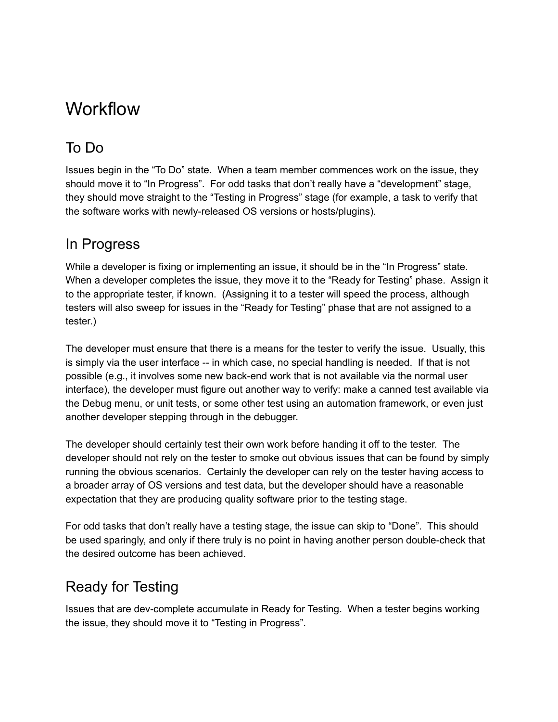### **Workflow**

### To Do

Issues begin in the "To Do" state. When a team member commences work on the issue, they should move it to "In Progress". For odd tasks that don't really have a "development" stage, they should move straight to the "Testing in Progress" stage (for example, a task to verify that the software works with newly-released OS versions or hosts/plugins).

### In Progress

While a developer is fixing or implementing an issue, it should be in the "In Progress" state. When a developer completes the issue, they move it to the "Ready for Testing" phase. Assign it to the appropriate tester, if known. (Assigning it to a tester will speed the process, although testers will also sweep for issues in the "Ready for Testing" phase that are not assigned to a tester.)

The developer must ensure that there is a means for the tester to verify the issue. Usually, this is simply via the user interface -- in which case, no special handling is needed. If that is not possible (e.g., it involves some new back-end work that is not available via the normal user interface), the developer must figure out another way to verify: make a canned test available via the Debug menu, or unit tests, or some other test using an automation framework, or even just another developer stepping through in the debugger.

The developer should certainly test their own work before handing it off to the tester. The developer should not rely on the tester to smoke out obvious issues that can be found by simply running the obvious scenarios. Certainly the developer can rely on the tester having access to a broader array of OS versions and test data, but the developer should have a reasonable expectation that they are producing quality software prior to the testing stage.

For odd tasks that don't really have a testing stage, the issue can skip to "Done". This should be used sparingly, and only if there truly is no point in having another person double-check that the desired outcome has been achieved.

### Ready for Testing

Issues that are dev-complete accumulate in Ready for Testing. When a tester begins working the issue, they should move it to "Testing in Progress".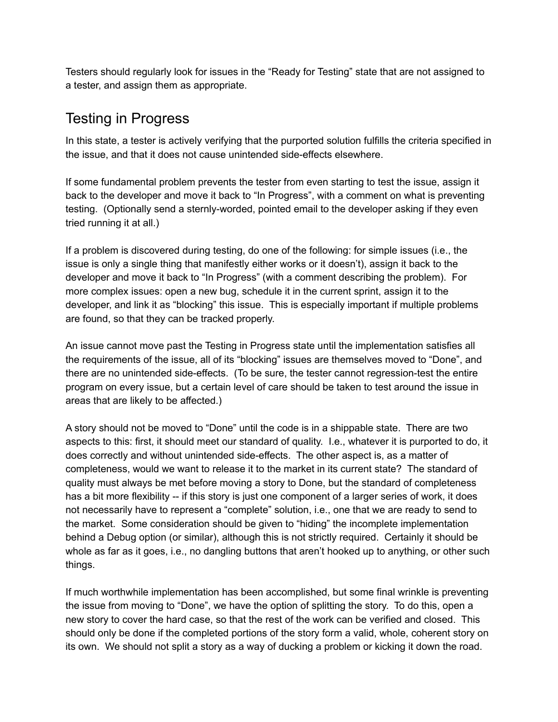Testers should regularly look for issues in the "Ready for Testing" state that are not assigned to a tester, and assign them as appropriate.

### Testing in Progress

In this state, a tester is actively verifying that the purported solution fulfills the criteria specified in the issue, and that it does not cause unintended side-effects elsewhere.

If some fundamental problem prevents the tester from even starting to test the issue, assign it back to the developer and move it back to "In Progress", with a comment on what is preventing testing. (Optionally send a sternly-worded, pointed email to the developer asking if they even tried running it at all.)

If a problem is discovered during testing, do one of the following: for simple issues (i.e., the issue is only a single thing that manifestly either works or it doesn't), assign it back to the developer and move it back to "In Progress" (with a comment describing the problem). For more complex issues: open a new bug, schedule it in the current sprint, assign it to the developer, and link it as "blocking" this issue. This is especially important if multiple problems are found, so that they can be tracked properly.

An issue cannot move past the Testing in Progress state until the implementation satisfies all the requirements of the issue, all of its "blocking" issues are themselves moved to "Done", and there are no unintended side-effects. (To be sure, the tester cannot regression-test the entire program on every issue, but a certain level of care should be taken to test around the issue in areas that are likely to be affected.)

A story should not be moved to "Done" until the code is in a shippable state. There are two aspects to this: first, it should meet our standard of quality. I.e., whatever it is purported to do, it does correctly and without unintended side-effects. The other aspect is, as a matter of completeness, would we want to release it to the market in its current state? The standard of quality must always be met before moving a story to Done, but the standard of completeness has a bit more flexibility -- if this story is just one component of a larger series of work, it does not necessarily have to represent a "complete" solution, i.e., one that we are ready to send to the market. Some consideration should be given to "hiding" the incomplete implementation behind a Debug option (or similar), although this is not strictly required. Certainly it should be whole as far as it goes, i.e., no dangling buttons that aren't hooked up to anything, or other such things.

If much worthwhile implementation has been accomplished, but some final wrinkle is preventing the issue from moving to "Done", we have the option of splitting the story. To do this, open a new story to cover the hard case, so that the rest of the work can be verified and closed. This should only be done if the completed portions of the story form a valid, whole, coherent story on its own. We should not split a story as a way of ducking a problem or kicking it down the road.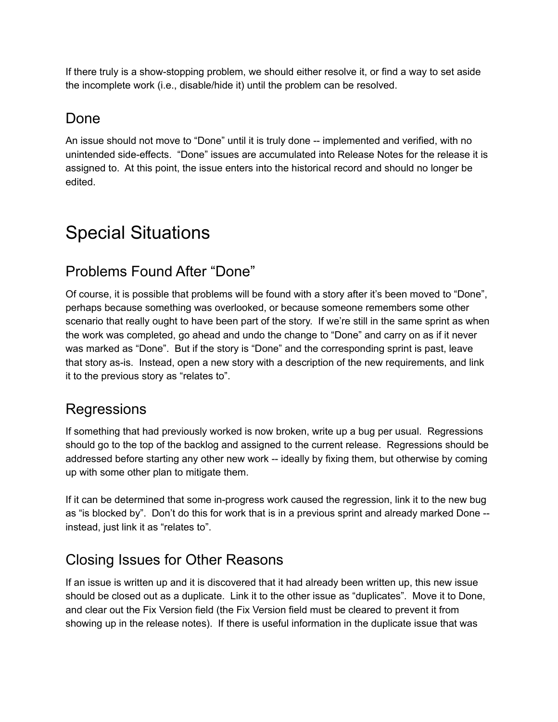If there truly is a show-stopping problem, we should either resolve it, or find a way to set aside the incomplete work (i.e., disable/hide it) until the problem can be resolved.

### Done

An issue should not move to "Done" until it is truly done -- implemented and verified, with no unintended side-effects. "Done" issues are accumulated into Release Notes for the release it is assigned to. At this point, the issue enters into the historical record and should no longer be edited.

# Special Situations

### Problems Found After "Done"

Of course, it is possible that problems will be found with a story after it's been moved to "Done", perhaps because something was overlooked, or because someone remembers some other scenario that really ought to have been part of the story. If we're still in the same sprint as when the work was completed, go ahead and undo the change to "Done" and carry on as if it never was marked as "Done". But if the story is "Done" and the corresponding sprint is past, leave that story as-is. Instead, open a new story with a description of the new requirements, and link it to the previous story as "relates to".

#### **Regressions**

If something that had previously worked is now broken, write up a bug per usual. Regressions should go to the top of the backlog and assigned to the current release. Regressions should be addressed before starting any other new work -- ideally by fixing them, but otherwise by coming up with some other plan to mitigate them.

If it can be determined that some in-progress work caused the regression, link it to the new bug as "is blocked by". Don't do this for work that is in a previous sprint and already marked Done - instead, just link it as "relates to".

### Closing Issues for Other Reasons

If an issue is written up and it is discovered that it had already been written up, this new issue should be closed out as a duplicate. Link it to the other issue as "duplicates". Move it to Done, and clear out the Fix Version field (the Fix Version field must be cleared to prevent it from showing up in the release notes). If there is useful information in the duplicate issue that was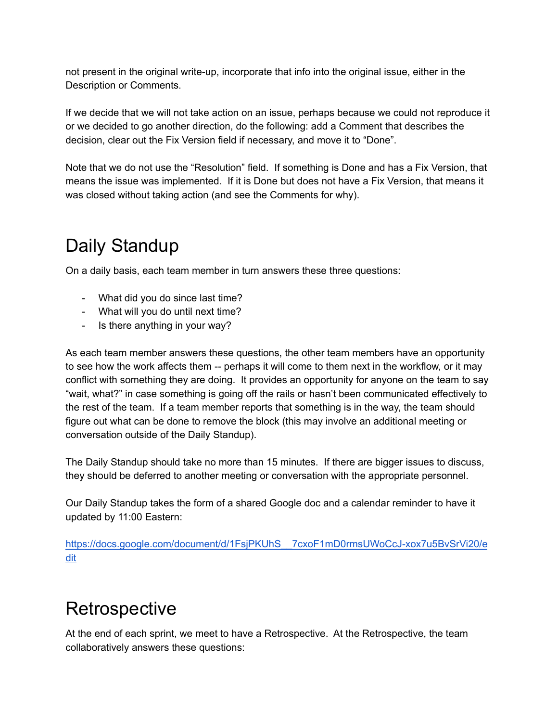not present in the original write-up, incorporate that info into the original issue, either in the Description or Comments.

If we decide that we will not take action on an issue, perhaps because we could not reproduce it or we decided to go another direction, do the following: add a Comment that describes the decision, clear out the Fix Version field if necessary, and move it to "Done".

Note that we do not use the "Resolution" field. If something is Done and has a Fix Version, that means the issue was implemented. If it is Done but does not have a Fix Version, that means it was closed without taking action (and see the Comments for why).

# Daily Standup

On a daily basis, each team member in turn answers these three questions:

- What did you do since last time?
- What will you do until next time?
- Is there anything in your way?

As each team member answers these questions, the other team members have an opportunity to see how the work affects them -- perhaps it will come to them next in the workflow, or it may conflict with something they are doing. It provides an opportunity for anyone on the team to say "wait, what?" in case something is going off the rails or hasn't been communicated effectively to the rest of the team. If a team member reports that something is in the way, the team should figure out what can be done to remove the block (this may involve an additional meeting or conversation outside of the Daily Standup).

The Daily Standup should take no more than 15 minutes. If there are bigger issues to discuss, they should be deferred to another meeting or conversation with the appropriate personnel.

Our Daily Standup takes the form of a shared Google doc and a calendar reminder to have it updated by 11:00 Eastern:

[https://docs.google.com/document/d/1FsjPKUhS\\_\\_7cxoF1mD0rmsUWoCcJ-xox7u5BvSrVi20/e](https://docs.google.com/document/d/1FsjPKUhS__7cxoF1mD0rmsUWoCcJ-xox7u5BvSrVi20/edit) [dit](https://docs.google.com/document/d/1FsjPKUhS__7cxoF1mD0rmsUWoCcJ-xox7u5BvSrVi20/edit)

## **Retrospective**

At the end of each sprint, we meet to have a Retrospective. At the Retrospective, the team collaboratively answers these questions: